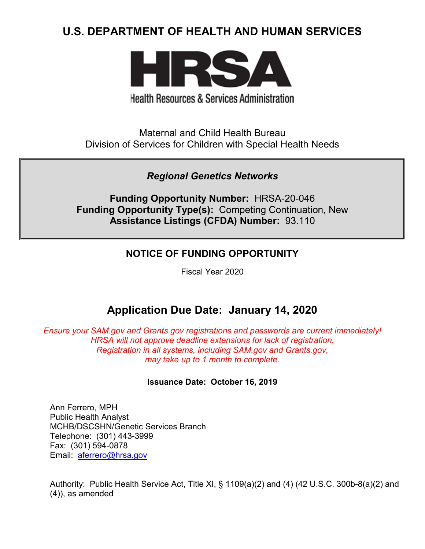# **U.S. DEPARTMENT OF HEALTH AND HUMAN SERVICES**



**Health Resources & Services Administration** 

Maternal and Child Health Bureau Division of Services for Children with Special Health Needs

*Regional Genetics Networks*

**Funding Opportunity Number:** HRSA-20-046 **Funding Opportunity Type(s):** Competing Continuation, New **Assistance Listings (CFDA) Number:** 93.110

## **NOTICE OF FUNDING OPPORTUNITY**

Fiscal Year 2020

# **Application Due Date: January 14, 2020**

*Ensure your SAM.gov and Grants.gov registrations and passwords are current immediately! HRSA will not approve deadline extensions for lack of registration. Registration in all systems, including SAM.gov and Grants.gov, may take up to 1 month to complete.*

## **Issuance Date:****October 16, 2019**

Ann Ferrero, MPH Public Health Analyst MCHB/DSCSHN/Genetic Services Branch Telephone: (301) 443-3999 Fax: (301) 594-0878 Email: [aferrero@hrsa.gov](mailto:aferrero@hrsa.gov)

Authority: Public Health Service Act, Title XI, § 1109(a)(2) and (4) (42 U.S.C. 300b-8(a)(2) and (4)), as amended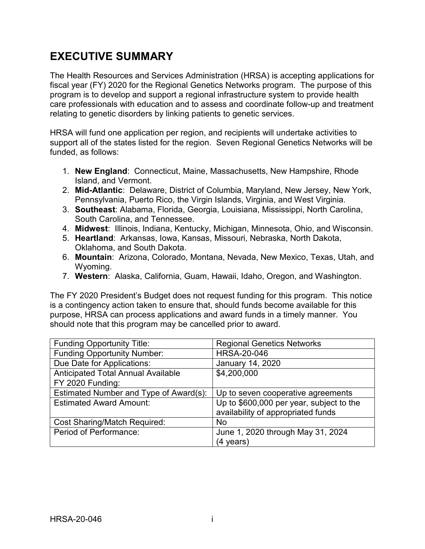# **EXECUTIVE SUMMARY**

The Health Resources and Services Administration (HRSA) is accepting applications for fiscal year (FY) 2020 for the Regional Genetics Networks program. The purpose of this program is to develop and support a regional infrastructure system to provide health care professionals with education and to assess and coordinate follow-up and treatment relating to genetic disorders by linking patients to genetic services.

HRSA will fund one application per region, and recipients will undertake activities to support all of the states listed for the region. Seven Regional Genetics Networks will be funded, as follows:

- 1. **New England**: Connecticut, Maine, Massachusetts, New Hampshire, Rhode Island, and Vermont.
- 2. **Mid-Atlantic**: Delaware, District of Columbia, Maryland, New Jersey, New York, Pennsylvania, Puerto Rico, the Virgin Islands, Virginia, and West Virginia.
- 3. **Southeast**: Alabama, Florida, Georgia, Louisiana, Mississippi, North Carolina, South Carolina, and Tennessee.
- 4. **Midwest**: Illinois, Indiana, Kentucky, Michigan, Minnesota, Ohio, and Wisconsin.
- 5. **Heartland**: Arkansas, Iowa, Kansas, Missouri, Nebraska, North Dakota, Oklahoma, and South Dakota.
- 6. **Mountain**: Arizona, Colorado, Montana, Nevada, New Mexico, Texas, Utah, and Wyoming.
- 7. **Western**: Alaska, California, Guam, Hawaii, Idaho, Oregon, and Washington.

The FY 2020 President's Budget does not request funding for this program. This notice is a contingency action taken to ensure that, should funds become available for this purpose, HRSA can process applications and award funds in a timely manner. You should note that this program may be cancelled prior to award.

| <b>Funding Opportunity Title:</b>         | <b>Regional Genetics Networks</b>        |  |
|-------------------------------------------|------------------------------------------|--|
| <b>Funding Opportunity Number:</b>        | <b>HRSA-20-046</b>                       |  |
| Due Date for Applications:                | January 14, 2020                         |  |
| <b>Anticipated Total Annual Available</b> | \$4,200,000                              |  |
| FY 2020 Funding:                          |                                          |  |
| Estimated Number and Type of Award(s):    | Up to seven cooperative agreements       |  |
| <b>Estimated Award Amount:</b>            | Up to \$600,000 per year, subject to the |  |
|                                           | availability of appropriated funds       |  |
| <b>Cost Sharing/Match Required:</b>       | No                                       |  |
| Period of Performance:                    | June 1, 2020 through May 31, 2024        |  |
|                                           | (4 years)                                |  |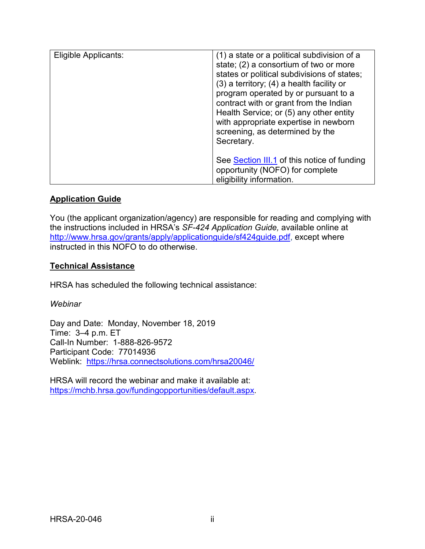| Eligible Applicants: | (1) a state or a political subdivision of a<br>state; (2) a consortium of two or more<br>states or political subdivisions of states;<br>$(3)$ a territory; $(4)$ a health facility or<br>program operated by or pursuant to a<br>contract with or grant from the Indian<br>Health Service; or (5) any other entity<br>with appropriate expertise in newborn<br>screening, as determined by the<br>Secretary. |
|----------------------|--------------------------------------------------------------------------------------------------------------------------------------------------------------------------------------------------------------------------------------------------------------------------------------------------------------------------------------------------------------------------------------------------------------|
|                      | See Section III.1 of this notice of funding<br>opportunity (NOFO) for complete<br>eligibility information.                                                                                                                                                                                                                                                                                                   |

#### **Application Guide**

You (the applicant organization/agency) are responsible for reading and complying with the instructions included in HRSA's *SF-424 Application Guide,* available online at [http://www.hrsa.gov/grants/apply/applicationguide/sf424guide.pdf,](http://www.hrsa.gov/grants/apply/applicationguide/sf424guide.pdf) except where instructed in this NOFO to do otherwise.

#### **Technical Assistance**

HRSA has scheduled the following technical assistance:

*Webinar*

Day and Date: Monday, November 18, 2019 Time: 3–4 p.m. ET Call-In Number: 1-888-826-9572 Participant Code: 77014936 Weblink: <https://hrsa.connectsolutions.com/hrsa20046/>

HRSA will record the webinar and make it available at: [https://mchb.hrsa.gov/fundingopportunities/default.aspx.](https://mchb.hrsa.gov/fundingopportunities/default.aspx)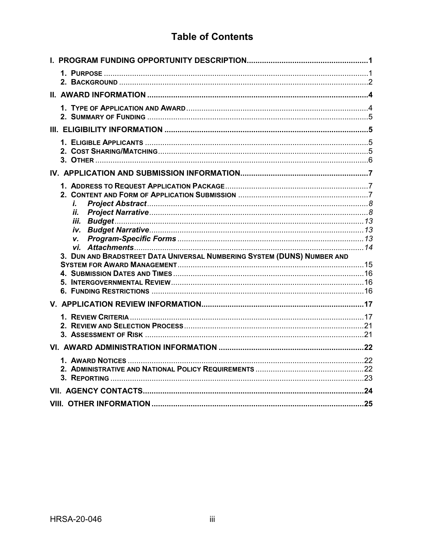# **Table of Contents**

| i.<br>ii.                                                               |  |
|-------------------------------------------------------------------------|--|
|                                                                         |  |
|                                                                         |  |
| v.                                                                      |  |
| 3. DUN AND BRADSTREET DATA UNIVERSAL NUMBERING SYSTEM (DUNS) NUMBER AND |  |
|                                                                         |  |
|                                                                         |  |
|                                                                         |  |
|                                                                         |  |
|                                                                         |  |
|                                                                         |  |
|                                                                         |  |
|                                                                         |  |
|                                                                         |  |
|                                                                         |  |
|                                                                         |  |
|                                                                         |  |
|                                                                         |  |
|                                                                         |  |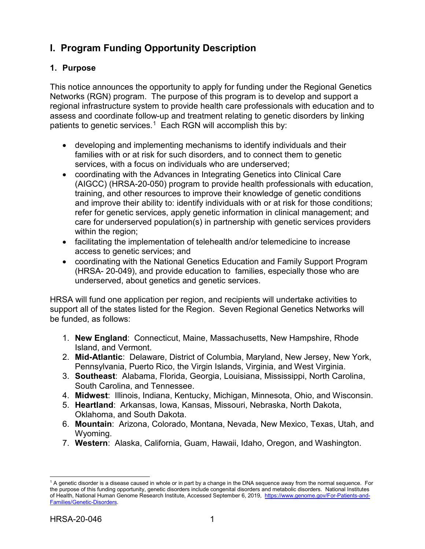# <span id="page-4-0"></span>**I. Program Funding Opportunity Description**

#### <span id="page-4-1"></span>**1. Purpose**

This notice announces the opportunity to apply for funding under the Regional Genetics Networks (RGN) program. The purpose of this program is to develop and support a regional infrastructure system to provide health care professionals with education and to assess and coordinate follow-up and treatment relating to genetic disorders by linking patients to genetic services. [1](#page-4-2) Each RGN will accomplish this by:

- developing and implementing mechanisms to identify individuals and their families with or at risk for such disorders, and to connect them to genetic services, with a focus on individuals who are underserved;
- coordinating with the Advances in Integrating Genetics into Clinical Care (AIGCC) (HRSA-20-050) program to provide health professionals with education, training, and other resources to improve their knowledge of genetic conditions and improve their ability to: identify individuals with or at risk for those conditions; refer for genetic services, apply genetic information in clinical management; and care for underserved population(s) in partnership with genetic services providers within the region;
- facilitating the implementation of telehealth and/or telemedicine to increase access to genetic services; and
- coordinating with the National Genetics Education and Family Support Program (HRSA- 20-049), and provide education to families, especially those who are underserved, about genetics and genetic services.

HRSA will fund one application per region, and recipients will undertake activities to support all of the states listed for the Region. Seven Regional Genetics Networks will be funded, as follows:

- 1. **New England**: Connecticut, Maine, Massachusetts, New Hampshire, Rhode Island, and Vermont.
- 2. **Mid-Atlantic**: Delaware, District of Columbia, Maryland, New Jersey, New York, Pennsylvania, Puerto Rico, the Virgin Islands, Virginia, and West Virginia.
- 3. **Southeast**: Alabama, Florida, Georgia, Louisiana, Mississippi, North Carolina, South Carolina, and Tennessee.
- 4. **Midwest**: Illinois, Indiana, Kentucky, Michigan, Minnesota, Ohio, and Wisconsin.
- 5. **Heartland**: Arkansas, Iowa, Kansas, Missouri, Nebraska, North Dakota, Oklahoma, and South Dakota.
- 6. **Mountain**: Arizona, Colorado, Montana, Nevada, New Mexico, Texas, Utah, and Wyoming.
- 7. **Western**: Alaska, California, Guam, Hawaii, Idaho, Oregon, and Washington.

<span id="page-4-2"></span> $\overline{a}$ <sup>1</sup> A genetic disorder is a disease caused in whole or in part by a change in the DNA sequence away from the normal sequence. For the purpose of this funding opportunity, genetic disorders include congenital disorders and metabolic disorders. National Institutes of Health, National Human Genome Research Institute, Accessed September 6, 2019, [https://www.genome.gov/For-Patients-and-](https://www.genome.gov/For-Patients-and-Families/Genetic-Disorders)[Families/Genetic-Disorders.](https://www.genome.gov/For-Patients-and-Families/Genetic-Disorders)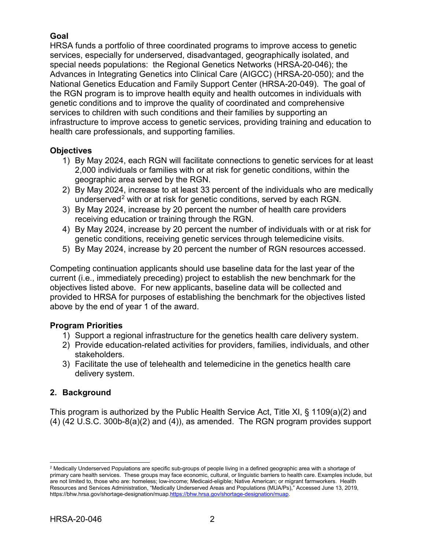## **Goal**

HRSA funds a portfolio of three coordinated programs to improve access to genetic services, especially for underserved, disadvantaged, geographically isolated, and special needs populations: the Regional Genetics Networks (HRSA-20-046); the Advances in Integrating Genetics into Clinical Care (AIGCC) (HRSA-20-050); and the National Genetics Education and Family Support Center (HRSA-20-049). The goal of the RGN program is to improve health equity and health outcomes in individuals with genetic conditions and to improve the quality of coordinated and comprehensive services to children with such conditions and their families by supporting an infrastructure to improve access to genetic services, providing training and education to health care professionals, and supporting families.

#### **Objectives**

- 1) By May 2024, each RGN will facilitate connections to genetic services for at least 2,000 individuals or families with or at risk for genetic conditions, within the geographic area served by the RGN.
- 2) By May 2024, increase to at least 33 percent of the individuals who are medically underserved<sup>[2](#page-5-1)</sup> with or at risk for genetic conditions, served by each RGN.
- 3) By May 2024, increase by 20 percent the number of health care providers receiving education or training through the RGN.
- 4) By May 2024, increase by 20 percent the number of individuals with or at risk for genetic conditions, receiving genetic services through telemedicine visits.
- 5) By May 2024, increase by 20 percent the number of RGN resources accessed.

Competing continuation applicants should use baseline data for the last year of the current (i.e., immediately preceding) project to establish the new benchmark for the objectives listed above. For new applicants, baseline data will be collected and provided to HRSA for purposes of establishing the benchmark for the objectives listed above by the end of year 1 of the award.

#### **Program Priorities**

- 1) Support a regional infrastructure for the genetics health care delivery system.
- 2) Provide education-related activities for providers, families, individuals, and other stakeholders.
- 3) Facilitate the use of telehealth and telemedicine in the genetics health care delivery system.

## <span id="page-5-0"></span>**2. Background**

This program is authorized by the Public Health Service Act, Title XI, § 1109(a)(2) and (4) (42 U.S.C. 300b-8(a)(2) and (4)), as amended. The RGN program provides support

<span id="page-5-1"></span> $\overline{a}$ <sup>2</sup> Medically Underserved Populations are specific sub-groups of people living in a defined geographic area with a shortage of primary care health services. These groups may face economic, cultural, or linguistic barriers to health care. Examples include, but are not limited to, those who are: homeless; low-income; Medicaid-eligible; Native American; or migrant farmworkers. Health Resources and Services Administration, "Medically Underserved Areas and Populations (MUA/Ps)," Accessed June 13, 2019, https://bhw.hrsa.gov/shortage-designation/muap[.https://bhw.hrsa.gov/shortage-designation/muap.](https://bhw.hrsa.gov/shortage-designation/muap)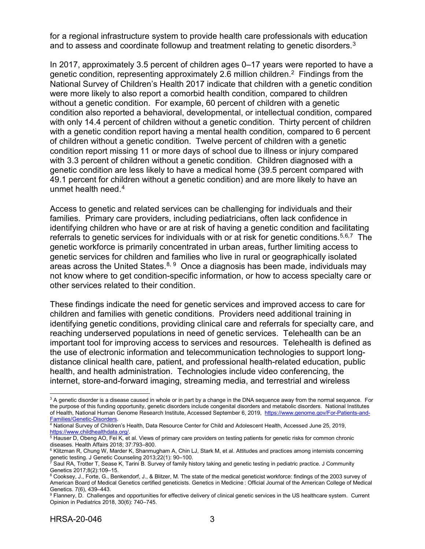for a regional infrastructure system to provide health care professionals with education and to assess and coordinate followup and treatment relating to genetic disorders.<sup>[3](#page-6-0)</sup>

In 2017, approximately 3.5 percent of children ages 0–17 years were reported to have a genetic condition, representing approximately 2.6 million children. <sup>2</sup> Findings from the National Survey of Children's Health 2017 indicate that children with a genetic condition were more likely to also report a comorbid health condition, compared to children without a genetic condition. For example, 60 percent of children with a genetic condition also reported a behavioral, developmental, or intellectual condition, compared with only 14.4 percent of children without a genetic condition. Thirty percent of children with a genetic condition report having a mental health condition, compared to 6 percent of children without a genetic condition. Twelve percent of children with a genetic condition report missing 11 or more days of school due to illness or injury compared with 3.3 percent of children without a genetic condition. Children diagnosed with a genetic condition are less likely to have a medical home (39.5 percent compared with 49.1 percent for children without a genetic condition) and are more likely to have an unmet health need. [4](#page-6-1)

Access to genetic and related services can be challenging for individuals and their families. Primary care providers, including pediatricians, often lack confidence in identifying children who have or are at risk of having a genetic condition and facilitating referrals to genetic services for individuals with or at risk for genetic conditions.<sup>[5](#page-6-2),[6,](#page-6-3)7</sup> The genetic workforce is primarily concentrated in urban areas, further limiting access to genetic services for children and families who live in rural or geographically isolated areas across the United States.<sup>[8](#page-6-5), [9](#page-6-6)</sup> Once a diagnosis has been made, individuals may not know where to get condition-specific information, or how to access specialty care or other services related to their condition.

These findings indicate the need for genetic services and improved access to care for children and families with genetic conditions. Providers need additional training in identifying genetic conditions, providing clinical care and referrals for specialty care, and reaching underserved populations in need of genetic services. Telehealth can be an important tool for improving access to services and resources. Telehealth is defined as the use of electronic information and telecommunication technologies to support longdistance clinical health care, patient, and professional health-related education, public health, and health administration. Technologies include video conferencing, the internet, store-and-forward imaging, streaming media, and terrestrial and wireless

<span id="page-6-0"></span> $\overline{a}$  $^3$  A genetic disorder is a disease caused in whole or in part by a change in the DNA sequence away from the normal sequence. For the purpose of this funding opportunity, genetic disorders include congenital disorders and metabolic disorders. National Institutes of Health, National Human Genome Research Institute, Accessed September 6, 2019, https://www.genome.gov/For-Patients-and-<br>Families/Genetic-Disorders.

<span id="page-6-1"></span><sup>&</sup>lt;sup>4</sup> National Survey of Children's Health, Data Resource Center for Child and Adolescent Health, Accessed June 25, 2019,

<span id="page-6-2"></span><sup>&</sup>lt;u>https://www.childhealthdata.org/</u>.<br><sup>5</sup> Hauser D, Obeng AO, Fei K, et al. Views of primary care providers on testing patients for genetic risks for common chronic diseases. Health Affairs 2018; 37:793–800.

<span id="page-6-3"></span><sup>&</sup>lt;sup>6</sup> Klitzman R, Chung W, Marder K, Shanmugham A, Chin LJ, Stark M, et al. Attitudes and practices among internists concerning genetic testing. J Genetic Counseling 2013;22(1): 90–100.

<span id="page-6-4"></span> $^7$  Saul RA, Trotter T, Sease K, Tarini B. Survey of family history taking and genetic testing in pediatric practice. J Community Genetics 2017;8(2):109–15.

<span id="page-6-5"></span><sup>8</sup> Cooksey, J., Forte, G., Benkendorf, J., & Blitzer, M. The state of the medical geneticist workforce: findings of the 2003 survey of American Board of Medical Genetics certified geneticists. Genetics in Medicine : Official Journal of the American College of Medical Genetics. 7(6), 439–443.

<span id="page-6-6"></span><sup>9</sup> Flannery, D. Challenges and opportunities for effective delivery of clinical genetic services in the US healthcare system. Current Opinion in Pediatrics 2018, 30(6): 740–745.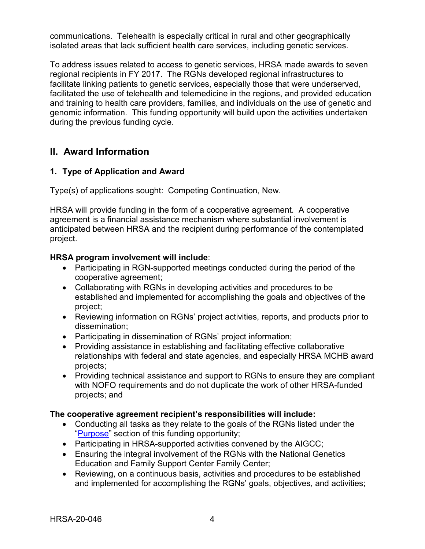communications. Telehealth is especially critical in rural and other geographically isolated areas that lack sufficient health care services, including genetic services.

To address issues related to access to genetic services, HRSA made awards to seven regional recipients in FY 2017. The RGNs developed regional infrastructures to facilitate linking patients to genetic services, especially those that were underserved, facilitated the use of telehealth and telemedicine in the regions, and provided education and training to health care providers, families, and individuals on the use of genetic and genomic information. This funding opportunity will build upon the activities undertaken during the previous funding cycle.

## <span id="page-7-0"></span>**II. Award Information**

#### <span id="page-7-1"></span>**1. Type of Application and Award**

Type(s) of applications sought: Competing Continuation, New.

HRSA will provide funding in the form of a cooperative agreement.A cooperative agreement is a financial assistance mechanism where substantial involvement is anticipated between HRSA and the recipient during performance of the contemplated project.

#### **HRSA program involvement will include**:

- Participating in RGN-supported meetings conducted during the period of the cooperative agreement;
- Collaborating with RGNs in developing activities and procedures to be established and implemented for accomplishing the goals and objectives of the project;
- Reviewing information on RGNs' project activities, reports, and products prior to dissemination;
- Participating in dissemination of RGNs' project information;
- Providing assistance in establishing and facilitating effective collaborative relationships with federal and state agencies, and especially HRSA MCHB award projects;
- Providing technical assistance and support to RGNs to ensure they are compliant with NOFO requirements and do not duplicate the work of other HRSA-funded projects; and

#### **The cooperative agreement recipient's responsibilities will include:**

- Conducting all tasks as they relate to the goals of the RGNs listed under the ["Purpose"](#page-4-0) section of this funding opportunity;
- Participating in HRSA-supported activities convened by the AIGCC;
- Ensuring the integral involvement of the RGNs with the National Genetics Education and Family Support Center Family Center;
- Reviewing, on a continuous basis, activities and procedures to be established and implemented for accomplishing the RGNs' goals, objectives, and activities;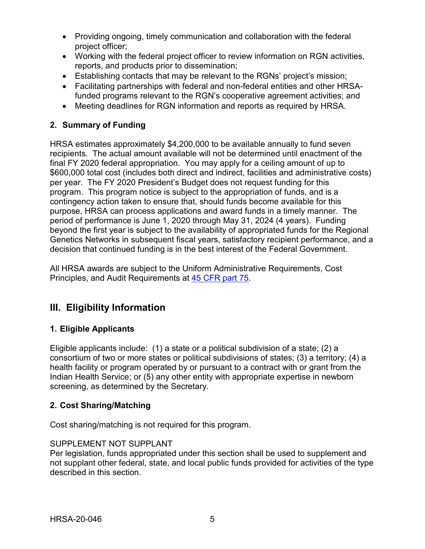- Providing ongoing, timely communication and collaboration with the federal project officer;
- Working with the federal project officer to review information on RGN activities, reports, and products prior to dissemination;
- Establishing contacts that may be relevant to the RGNs' project's mission;
- Facilitating partnerships with federal and non-federal entities and other HRSAfunded programs relevant to the RGN's cooperative agreement activities; and
- Meeting deadlines for RGN information and reports as required by HRSA.

### <span id="page-8-1"></span>**2. Summary of Funding**

HRSA estimates approximately \$4,200,000 to be available annually to fund seven recipients. The actual amount available will not be determined until enactment of the final FY 2020 federal appropriation. You may apply for a ceiling amount of up to \$600,000 total cost (includes both direct and indirect, facilities and administrative costs) per year. The FY 2020 President's Budget does not request funding for this program. This program notice is subject to the appropriation of funds, and is a contingency action taken to ensure that, should funds become available for this purpose, HRSA can process applications and award funds in a timely manner. The period of performance is June 1, 2020 through May 31, 2024 (4 years). Funding beyond the first year is subject to the availability of appropriated funds for the Regional Genetics Networks in subsequent fiscal years, satisfactory recipient performance, and a decision that continued funding is in the best interest of the Federal Government.

All HRSA awards are subject to the Uniform Administrative Requirements, Cost Principles, and Audit Requirements at [45 CFR part 75.](http://www.ecfr.gov/cgi-bin/retrieveECFR?gp=1&SID=4d52364ec83fab994c665943dadf9cf7&ty=HTML&h=L&r=PART&n=pt45.1.75)

## <span id="page-8-2"></span>**III. Eligibility Information**

#### <span id="page-8-0"></span>**1. Eligible Applicants**

Eligible applicants include: (1) a state or a political subdivision of a state; (2) a consortium of two or more states or political subdivisions of states; (3) a territory; (4) a health facility or program operated by or pursuant to a contract with or grant from the Indian Health Service; or (5) any other entity with appropriate expertise in newborn screening, as determined by the Secretary.

#### <span id="page-8-3"></span>**2. Cost Sharing/Matching**

Cost sharing/matching is not required for this program.

#### SUPPLEMENT NOT SUPPLANT

Per legislation, funds appropriated under this section shall be used to supplement and not supplant other federal, state, and local public funds provided for activities of the type described in this section.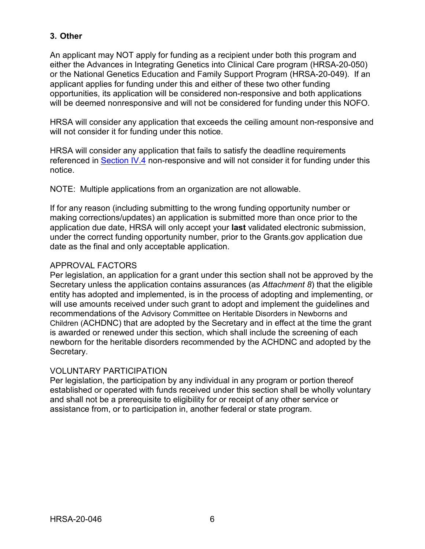#### <span id="page-9-0"></span>**3. Other**

An applicant may NOT apply for funding as a recipient under both this program and either the Advances in Integrating Genetics into Clinical Care program (HRSA-20-050) or the National Genetics Education and Family Support Program (HRSA-20-049). If an applicant applies for funding under this and either of these two other funding opportunities, its application will be considered non-responsive and both applications will be deemed nonresponsive and will not be considered for funding under this NOFO.

HRSA will consider any application that exceeds the ceiling amount non-responsive and will not consider it for funding under this notice.

HRSA will consider any application that fails to satisfy the deadline requirements referenced in [Section IV.4](#page-19-0) non-responsive and will not consider it for funding under this notice.

NOTE: Multiple applications from an organization are not allowable.

If for any reason (including submitting to the wrong funding opportunity number or making corrections/updates) an application is submitted more than once prior to the application due date, HRSA will only accept your **last** validated electronic submission, under the correct funding opportunity number, prior to the Grants.gov application due date as the final and only acceptable application.

#### <span id="page-9-1"></span>APPROVAL FACTORS

Per legislation, an application for a grant under this section shall not be approved by the Secretary unless the application contains assurances (as *Attachment 8*) that the eligible entity has adopted and implemented, is in the process of adopting and implementing, or will use amounts received under such grant to adopt and implement the guidelines and recommendations of the Advisory Committee on Heritable Disorders in Newborns and Children (ACHDNC) that are adopted by the Secretary and in effect at the time the grant is awarded or renewed under this section, which shall include the screening of each newborn for the heritable disorders recommended by the ACHDNC and adopted by the Secretary.

#### VOLUNTARY PARTICIPATION

Per legislation, the participation by any individual in any program or portion thereof established or operated with funds received under this section shall be wholly voluntary and shall not be a prerequisite to eligibility for or receipt of any other service or assistance from, or to participation in, another federal or state program.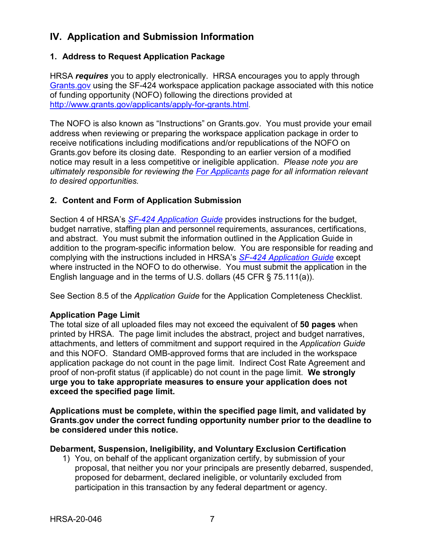## <span id="page-10-0"></span>**IV. Application and Submission Information**

#### <span id="page-10-1"></span>**1. Address to Request Application Package**

HRSA *requires* you to apply electronically. HRSA encourages you to apply through [Grants.gov](https://www.grants.gov/) using the SF-424 workspace application package associated with this notice of funding opportunity (NOFO) following the directions provided at [http://www.grants.gov/applicants/apply-for-grants.html.](http://www.grants.gov/applicants/apply-for-grants.html)

The NOFO is also known as "Instructions" on Grants.gov. You must provide your email address when reviewing or preparing the workspace application package in order to receive notifications including modifications and/or republications of the NOFO on Grants.gov before its closing date. Responding to an earlier version of a modified notice may result in a less competitive or ineligible application. *Please note you are ultimately responsible for reviewing the [For Applicants](https://www.grants.gov/web/grants/applicants.html) page for all information relevant to desired opportunities.*

#### <span id="page-10-2"></span>**2. Content and Form of Application Submission**

Section 4 of HRSA's *SF-424 [Application Guide](http://www.hrsa.gov/grants/apply/applicationguide/sf424guide.pdf)* provides instructions for the budget, budget narrative, staffing plan and personnel requirements, assurances, certifications, and abstract. You must submit the information outlined in the Application Guide in addition to the program-specific information below. You are responsible for reading and complying with the instructions included in HRSA's *SF-424 [Application Guide](http://www.hrsa.gov/grants/apply/applicationguide/sf424guide.pdf)* except where instructed in the NOFO to do otherwise. You must submit the application in the English language and in the terms of U.S. dollars (45 CFR § 75.111(a)).

See Section 8.5 of the *Application Guide* for the Application Completeness Checklist.

#### **Application Page Limit**

The total size of all uploaded files may not exceed the equivalent of **50 pages** when printed by HRSA. The page limit includes the abstract, project and budget narratives, attachments, and letters of commitment and support required in the *Application Guide* and this NOFO. Standard OMB-approved forms that are included in the workspace application package do not count in the page limit. Indirect Cost Rate Agreement and proof of non-profit status (if applicable) do not count in the page limit. **We strongly urge you to take appropriate measures to ensure your application does not exceed the specified page limit.**

**Applications must be complete, within the specified page limit, and validated by Grants.gov under the correct funding opportunity number prior to the deadline to be considered under this notice.**

#### **Debarment, Suspension, Ineligibility, and Voluntary Exclusion Certification**

1) You, on behalf of the applicant organization certify, by submission of your proposal, that neither you nor your principals are presently debarred, suspended, proposed for debarment, declared ineligible, or voluntarily excluded from participation in this transaction by any federal department or agency.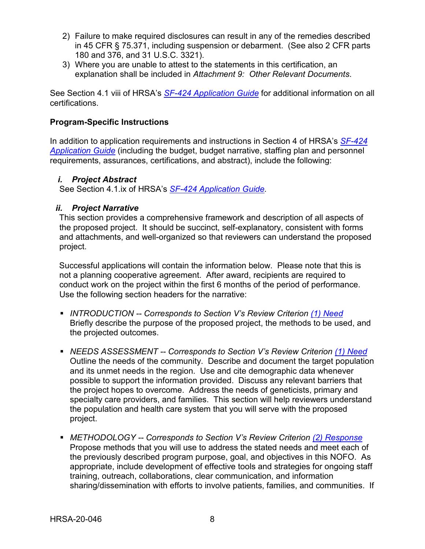- 2) Failure to make required disclosures can result in any of the remedies described in 45 CFR § 75.371, including suspension or debarment. (See also 2 CFR parts 180 and 376, and 31 U.S.C. 3321).
- 3) Where you are unable to attest to the statements in this certification, an explanation shall be included in *Attachment 9: Other Relevant Documents*.

See Section 4.1 viii of HRSA's *SF-424 [Application Guide](http://www.hrsa.gov/grants/apply/applicationguide/sf424guide.pdf)* for additional information on all certifications.

#### **Program-Specific Instructions**

In addition to application requirements and instructions in Section 4 of HRSA's *[SF-424](http://www.hrsa.gov/grants/apply/applicationguide/sf424guide.pdf) [Application Guide](http://www.hrsa.gov/grants/apply/applicationguide/sf424guide.pdf)* (including the budget, budget narrative, staffing plan and personnel requirements, assurances, certifications, and abstract), include the following:

#### <span id="page-11-0"></span>*i. Project Abstract*

See Section 4.1.ix of HRSA's *SF-424 [Application Guide.](http://www.hrsa.gov/grants/apply/applicationguide/sf424guide.pdf)*

#### <span id="page-11-1"></span>*ii. Project Narrative*

This section provides a comprehensive framework and description of all aspects of the proposed project. It should be succinct, self-explanatory, consistent with forms and attachments, and well-organized so that reviewers can understand the proposed project.

Successful applications will contain the information below. Please note that this is not a planning cooperative agreement. After award, recipients are required to conduct work on the project within the first 6 months of the period of performance. Use the following section headers for the narrative:

- *INTRODUCTION -- Corresponds to Section V's Review Criterion [\(1\) Need](#page-21-0)* Briefly describe the purpose of the proposed project, the methods to be used, and the projected outcomes.
- *NEEDS ASSESSMENT -- Corresponds to Section V's Review Criterion [\(1\) Need](#page-21-0)* Outline the needs of the community. Describe and document the target population and its unmet needs in the region. Use and cite demographic data whenever possible to support the information provided. Discuss any relevant barriers that the project hopes to overcome. Address the needs of geneticists, primary and specialty care providers, and families. This section will help reviewers understand the population and health care system that you will serve with the proposed project.
- *METHODOLOGY -- Corresponds to Section V's Review Criterion [\(2\) Response](#page-21-1)* Propose methods that you will use to address the stated needs and meet each of the previously described program purpose, goal, and objectives in this NOFO. As appropriate, include development of effective tools and strategies for ongoing staff training, outreach, collaborations, clear communication, and information sharing/dissemination with efforts to involve patients, families, and communities. If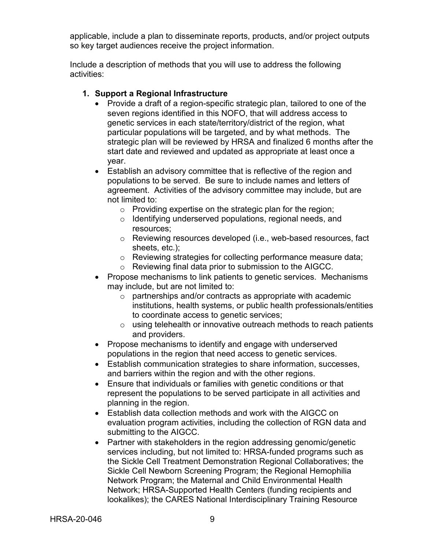applicable, include a plan to disseminate reports, products, and/or project outputs so key target audiences receive the project information.

Include a description of methods that you will use to address the following activities:

#### **1. Support a Regional Infrastructure**

- Provide a draft of a region-specific strategic plan, tailored to one of the seven regions identified in this NOFO, that will address access to genetic services in each state/territory/district of the region, what particular populations will be targeted, and by what methods. The strategic plan will be reviewed by HRSA and finalized 6 months after the start date and reviewed and updated as appropriate at least once a year.
- Establish an advisory committee that is reflective of the region and populations to be served. Be sure to include names and letters of agreement. Activities of the advisory committee may include, but are not limited to:
	- o Providing expertise on the strategic plan for the region;
	- o Identifying underserved populations, regional needs, and resources;
	- o Reviewing resources developed (i.e., web-based resources, fact sheets, etc.);
	- o Reviewing strategies for collecting performance measure data;
	- o Reviewing final data prior to submission to the AIGCC.
- Propose mechanisms to link patients to genetic services. Mechanisms may include, but are not limited to:
	- $\circ$  partnerships and/or contracts as appropriate with academic institutions, health systems, or public health professionals/entities to coordinate access to genetic services;
	- $\circ$  using telehealth or innovative outreach methods to reach patients and providers.
- Propose mechanisms to identify and engage with underserved populations in the region that need access to genetic services.
- Establish communication strategies to share information, successes, and barriers within the region and with the other regions.
- Ensure that individuals or families with genetic conditions or that represent the populations to be served participate in all activities and planning in the region.
- Establish data collection methods and work with the AIGCC on evaluation program activities, including the collection of RGN data and submitting to the AIGCC.
- Partner with stakeholders in the region addressing genomic/genetic services including, but not limited to: HRSA-funded programs such as the Sickle Cell Treatment Demonstration Regional Collaboratives; the Sickle Cell Newborn Screening Program; the Regional Hemophilia Network Program; the Maternal and Child Environmental Health Network; HRSA-Supported Health Centers (funding recipients and lookalikes); the CARES National Interdisciplinary Training Resource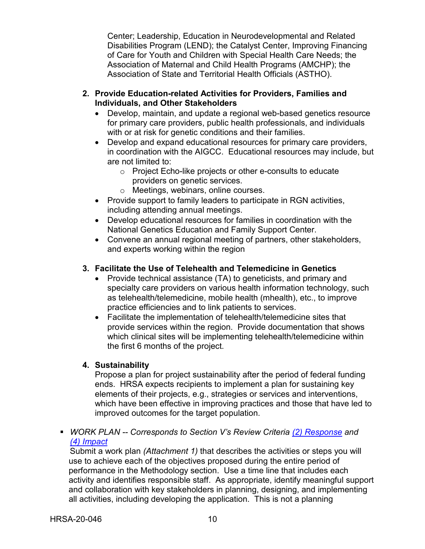Center; Leadership, Education in Neurodevelopmental and Related Disabilities Program (LEND); the Catalyst Center, Improving Financing of Care for Youth and Children with Special Health Care Needs; the Association of Maternal and Child Health Programs (AMCHP); the Association of State and Territorial Health Officials (ASTHO).

- **2. Provide Education-related Activities for Providers, Families and Individuals, and Other Stakeholders**
	- Develop, maintain, and update a regional web-based genetics resource for primary care providers, public health professionals, and individuals with or at risk for genetic conditions and their families.
	- Develop and expand educational resources for primary care providers, in coordination with the AIGCC. Educational resources may include, but are not limited to:
		- o Project Echo-like projects or other e-consults to educate providers on genetic services.
		- o Meetings, webinars, online courses.
	- Provide support to family leaders to participate in RGN activities, including attending annual meetings.
	- Develop educational resources for families in coordination with the National Genetics Education and Family Support Center.
	- Convene an annual regional meeting of partners, other stakeholders, and experts working within the region

### **3. Facilitate the Use of Telehealth and Telemedicine in Genetics**

- Provide technical assistance (TA) to geneticists, and primary and specialty care providers on various health information technology, such as telehealth/telemedicine, mobile health (mhealth), etc., to improve practice efficiencies and to link patients to services.
- Facilitate the implementation of telehealth/telemedicine sites that provide services within the region. Provide documentation that shows which clinical sites will be implementing telehealth/telemedicine within the first 6 months of the project.

## **4. Sustainability**

Propose a plan for project sustainability after the period of federal funding ends. HRSA expects recipients to implement a plan for sustaining key elements of their projects, e.g., strategies or services and interventions, which have been effective in improving practices and those that have led to improved outcomes for the target population.

 *WORK PLAN -- Corresponds to Section V's Review Criteria [\(2\) Response](#page-21-1) and [\(4\) Impact](#page-23-0)*

Submit a work plan *(Attachment 1)* that describes the activities or steps you will use to achieve each of the objectives proposed during the entire period of performance in the Methodology section. Use a time line that includes each activity and identifies responsible staff. As appropriate, identify meaningful support and collaboration with key stakeholders in planning, designing, and implementing all activities, including developing the application. This is not a planning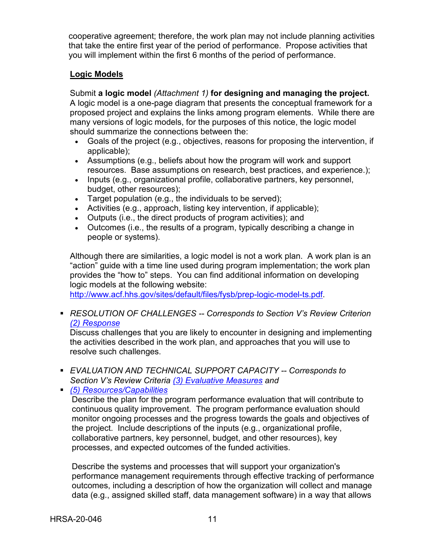cooperative agreement; therefore, the work plan may not include planning activities that take the entire first year of the period of performance. Propose activities that you will implement within the first 6 months of the period of performance.

#### **Logic Models**

Submit **a logic model** *(Attachment 1)* **for designing and managing the project.** A logic model is a one-page diagram that presents the conceptual framework for a proposed project and explains the links among program elements. While there are many versions of logic models, for the purposes of this notice, the logic model should summarize the connections between the:

- Goals of the project (e.g., objectives, reasons for proposing the intervention, if applicable);
- Assumptions (e.g., beliefs about how the program will work and support resources. Base assumptions on research, best practices, and experience.);
- Inputs (e.g., organizational profile, collaborative partners, key personnel, budget, other resources);
- Target population (e.g., the individuals to be served);
- Activities (e.g., approach, listing key intervention, if applicable);
- Outputs (i.e., the direct products of program activities); and
- Outcomes (i.e., the results of a program, typically describing a change in people or systems).

Although there are similarities, a logic model is not a work plan. A work plan is an "action" guide with a time line used during program implementation; the work plan provides the "how to" steps. You can find additional information on developing logic models at the following website:

[http://www.acf.hhs.gov/sites/default/files/fysb/prep-logic-model-ts.pdf.](http://www.acf.hhs.gov/sites/default/files/fysb/prep-logic-model-ts.pdf)

 *RESOLUTION OF CHALLENGES -- Corresponds to Section V's Review Criterion [\(2\) Response](#page-21-1)*

Discuss challenges that you are likely to encounter in designing and implementing the activities described in the work plan, and approaches that you will use to resolve such challenges.

 *EVALUATION AND TECHNICAL SUPPORT CAPACITY -- Corresponds to Section V's Review Criteria [\(3\) Evaluative Measures](#page-23-1) and* 

*[\(5\) Resources/Capabilities](#page-23-2)*

Describe the plan for the program performance evaluation that will contribute to continuous quality improvement. The program performance evaluation should monitor ongoing processes and the progress towards the goals and objectives of the project. Include descriptions of the inputs (e.g., organizational profile, collaborative partners, key personnel, budget, and other resources), key processes, and expected outcomes of the funded activities.

Describe the systems and processes that will support your organization's performance management requirements through effective tracking of performance outcomes, including a description of how the organization will collect and manage data (e.g., assigned skilled staff, data management software) in a way that allows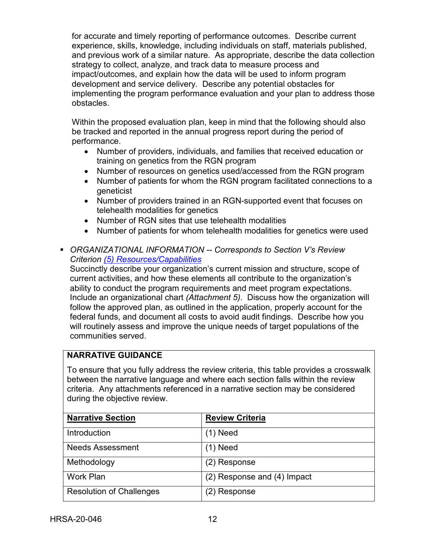for accurate and timely reporting of performance outcomes. Describe current experience, skills, knowledge, including individuals on staff, materials published, and previous work of a similar nature. As appropriate, describe the data collection strategy to collect, analyze, and track data to measure process and impact/outcomes, and explain how the data will be used to inform program development and service delivery. Describe any potential obstacles for implementing the program performance evaluation and your plan to address those obstacles.

Within the proposed evaluation plan, keep in mind that the following should also be tracked and reported in the annual progress report during the period of performance.

- Number of providers, individuals, and families that received education or training on genetics from the RGN program
- Number of resources on genetics used/accessed from the RGN program
- Number of patients for whom the RGN program facilitated connections to a geneticist
- Number of providers trained in an RGN-supported event that focuses on telehealth modalities for genetics
- Number of RGN sites that use telehealth modalities
- Number of patients for whom telehealth modalities for genetics were used
- *ORGANIZATIONAL INFORMATION -- Corresponds to Section V's Review Criterion [\(5\) Resources/Capabilities](#page-23-2)*

Succinctly describe your organization's current mission and structure, scope of current activities, and how these elements all contribute to the organization's ability to conduct the program requirements and meet program expectations. Include an organizational chart *(Attachment 5)*. Discuss how the organization will follow the approved plan, as outlined in the application, properly account for the federal funds, and document all costs to avoid audit findings. Describe how you will routinely assess and improve the unique needs of target populations of the communities served.

#### **NARRATIVE GUIDANCE**

To ensure that you fully address the review criteria, this table provides a crosswalk between the narrative language and where each section falls within the review criteria. Any attachments referenced in a narrative section may be considered during the objective review.

| <b>Narrative Section</b>        | <b>Review Criteria</b>      |
|---------------------------------|-----------------------------|
| Introduction                    | $(1)$ Need                  |
| <b>Needs Assessment</b>         | (1) Need                    |
| Methodology                     | (2) Response                |
| Work Plan                       | (2) Response and (4) Impact |
| <b>Resolution of Challenges</b> | (2) Response                |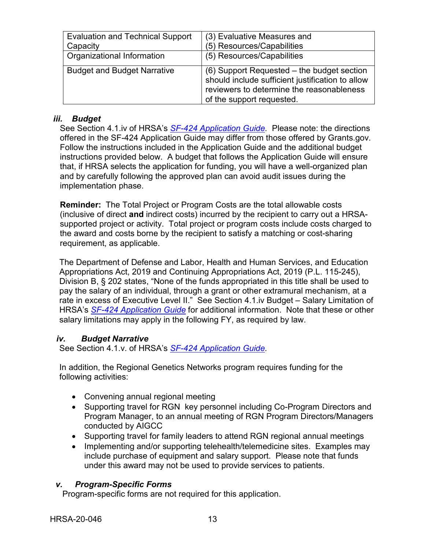| <b>Evaluation and Technical Support</b> | (3) Evaluative Measures and                                                                                                                                              |
|-----------------------------------------|--------------------------------------------------------------------------------------------------------------------------------------------------------------------------|
| Capacity                                | (5) Resources/Capabilities                                                                                                                                               |
| Organizational Information              | (5) Resources/Capabilities                                                                                                                                               |
| <b>Budget and Budget Narrative</b>      | (6) Support Requested – the budget section<br>should include sufficient justification to allow<br>reviewers to determine the reasonableness<br>of the support requested. |

#### <span id="page-16-0"></span>*iii. Budget*

See Section 4.1.iv of HRSA's *SF-424 [Application Guide.](http://www.hrsa.gov/grants/apply/applicationguide/sf424guide.pdf)* Please note: the directions offered in the SF-424 Application Guide may differ from those offered by Grants.gov. Follow the instructions included in the Application Guide and the additional budget instructions provided below. A budget that follows the Application Guide will ensure that, if HRSA selects the application for funding, you will have a well-organized plan and by carefully following the approved plan can avoid audit issues during the implementation phase.

**Reminder:** The Total Project or Program Costs are the total allowable costs (inclusive of direct **and** indirect costs) incurred by the recipient to carry out a HRSAsupported project or activity. Total project or program costs include costs charged to the award and costs borne by the recipient to satisfy a matching or cost-sharing requirement, as applicable.

The Department of Defense and Labor, Health and Human Services, and Education Appropriations Act, 2019 and Continuing Appropriations Act, 2019 (P.L. 115-245), Division B, § 202 states, "None of the funds appropriated in this title shall be used to pay the salary of an individual, through a grant or other extramural mechanism, at a rate in excess of Executive Level II." See Section 4.1.iv Budget – Salary Limitation of HRSA's *SF-424 [Application Guide](http://www.hrsa.gov/grants/apply/applicationguide/sf424guide.pdf)* for additional information. Note that these or other salary limitations may apply in the following FY, as required by law.

#### <span id="page-16-1"></span>*iv. Budget Narrative*

See Section 4.1.v. of HRSA's *SF-424 [Application Guide.](http://www.hrsa.gov/grants/apply/applicationguide/sf424guide.pdf)*

In addition, the Regional Genetics Networks program requires funding for the following activities:

- Convening annual regional meeting
- Supporting travel for RGN key personnel including Co-Program Directors and Program Manager, to an annual meeting of RGN Program Directors/Managers conducted by AIGCC
- Supporting travel for family leaders to attend RGN regional annual meetings
- Implementing and/or supporting telehealth/telemedicine sites. Examples may include purchase of equipment and salary support. Please note that funds under this award may not be used to provide services to patients.

#### <span id="page-16-2"></span>*v. Program-Specific Forms*

Program-specific forms are not required for this application.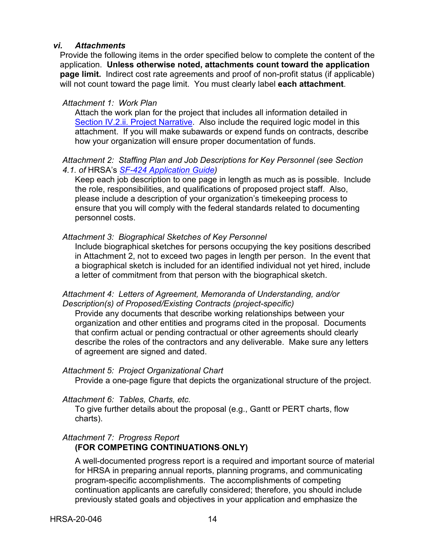#### <span id="page-17-0"></span>*vi. Attachments*

Provide the following items in the order specified below to complete the content of the application. **Unless otherwise noted, attachments count toward the application page limit.** Indirect cost rate agreements and proof of non-profit status (if applicable) will not count toward the page limit. You must clearly label **each attachment**.

#### *Attachment 1: Work Plan*

Attach the work plan for the project that includes all information detailed in [Section IV.2.ii. Project Narrative.](#page-11-1) Also include the required logic model in this attachment. If you will make subawards or expend funds on contracts, describe how your organization will ensure proper documentation of funds.

#### *Attachment 2: Staffing Plan and Job Descriptions for Key Personnel (see Section 4.1. of* HRSA's *SF-424 [Application Guide\)](http://www.hrsa.gov/grants/apply/applicationguide/sf424guide.pdf)*

Keep each job description to one page in length as much as is possible. Include the role, responsibilities, and qualifications of proposed project staff. Also, please include a description of your organization's timekeeping process to ensure that you will comply with the federal standards related to documenting personnel costs.

#### *Attachment 3: Biographical Sketches of Key Personnel*

Include biographical sketches for persons occupying the key positions described in Attachment 2, not to exceed two pages in length per person. In the event that a biographical sketch is included for an identified individual not yet hired, include a letter of commitment from that person with the biographical sketch.

#### *Attachment 4: Letters of Agreement, Memoranda of Understanding, and/or Description(s) of Proposed/Existing Contracts (project-specific)*

Provide any documents that describe working relationships between your organization and other entities and programs cited in the proposal. Documents that confirm actual or pending contractual or other agreements should clearly describe the roles of the contractors and any deliverable. Make sure any letters of agreement are signed and dated.

#### *Attachment 5: Project Organizational Chart*

Provide a one-page figure that depicts the organizational structure of the project.

#### *Attachment 6: Tables, Charts, etc.*

To give further details about the proposal (e.g., Gantt or PERT charts, flow charts).

# *Attachment 7: Progress Report*

#### **(FOR COMPETING CONTINUATIONS ONLY)**

A well-documented progress report is a required and important source of material for HRSA in preparing annual reports, planning programs, and communicating program-specific accomplishments. The accomplishments of competing continuation applicants are carefully considered; therefore, you should include previously stated goals and objectives in your application and emphasize the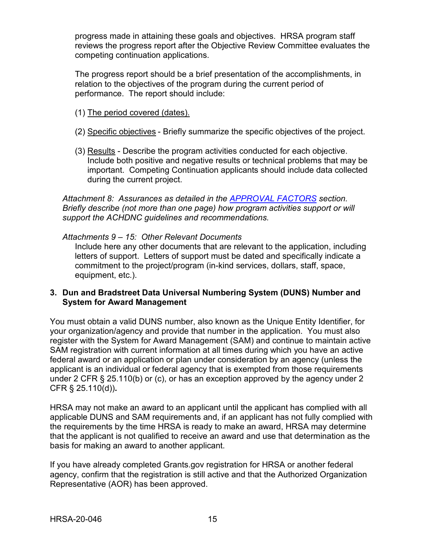progress made in attaining these goals and objectives. HRSA program staff reviews the progress report after the Objective Review Committee evaluates the competing continuation applications.

The progress report should be a brief presentation of the accomplishments, in relation to the objectives of the program during the current period of performance. The report should include:

- (1) The period covered (dates).
- (2) Specific objectives Briefly summarize the specific objectives of the project.
- (3) Results Describe the program activities conducted for each objective. Include both positive and negative results or technical problems that may be important. Competing Continuation applicants should include data collected during the current project.

*Attachment 8: Assurances as detailed in the [APPROVAL FACTORS](#page-9-1) section. Briefly describe (not more than one page) how program activities support or will support the ACHDNC guidelines and recommendations.*

*Attachments 9 – 15: Other Relevant Documents* Include here any other documents that are relevant to the application, including letters of support. Letters of support must be dated and specifically indicate a commitment to the project/program (in-kind services, dollars, staff, space, equipment, etc.).

#### <span id="page-18-0"></span>**3. Dun and Bradstreet Data Universal Numbering System (DUNS) Number and System for Award Management**

You must obtain a valid DUNS number, also known as the Unique Entity Identifier, for your organization/agency and provide that number in the application. You must also register with the System for Award Management (SAM) and continue to maintain active SAM registration with current information at all times during which you have an active federal award or an application or plan under consideration by an agency (unless the applicant is an individual or federal agency that is exempted from those requirements under 2 CFR § 25.110(b) or (c), or has an exception approved by the agency under 2 CFR § 25.110(d))**.**

HRSA may not make an award to an applicant until the applicant has complied with all applicable DUNS and SAM requirements and, if an applicant has not fully complied with the requirements by the time HRSA is ready to make an award, HRSA may determine that the applicant is not qualified to receive an award and use that determination as the basis for making an award to another applicant.

If you have already completed Grants.gov registration for HRSA or another federal agency, confirm that the registration is still active and that the Authorized Organization Representative (AOR) has been approved.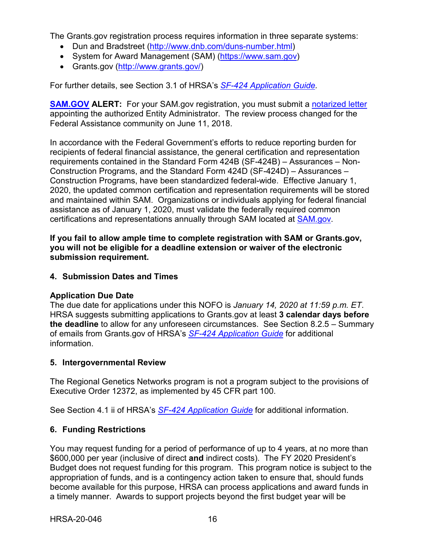The Grants.gov registration process requires information in three separate systems:

- Dun and Bradstreet [\(http://www.dnb.com/duns-number.html\)](http://www.dnb.com/duns-number.html)
- System for Award Management (SAM) [\(https://www.sam.gov\)](https://www.sam.gov/)
- Grants.gov [\(http://www.grants.gov/\)](http://www.grants.gov/)

For further details, see Section 3.1 of HRSA's *SF-424 [Application Guide.](http://www.hrsa.gov/grants/apply/applicationguide/sf424guide.pdf)*

**[SAM.GOV](http://sam.gov/) ALERT:** For your SAM.gov registration, you must submit a [notarized letter](https://www.fsd.gov/fsd-gov/answer.do?sysparm_kbid=d2e67885db0d5f00b3257d321f96194b&sysparm_search=kb0013183) appointing the authorized Entity Administrator. The review process changed for the Federal Assistance community on June 11, 2018.

In accordance with the Federal Government's efforts to reduce reporting burden for recipients of federal financial assistance, the general certification and representation requirements contained in the Standard Form 424B (SF-424B) – Assurances – Non-Construction Programs, and the Standard Form 424D (SF-424D) – Assurances – Construction Programs, have been standardized federal-wide. Effective January 1, 2020, the updated common certification and representation requirements will be stored and maintained within SAM. Organizations or individuals applying for federal financial assistance as of January 1, 2020, must validate the federally required common certifications and representations annually through SAM located at [SAM.gov.](https://www.sam.gov/)

**If you fail to allow ample time to complete registration with SAM or Grants.gov, you will not be eligible for a deadline extension or waiver of the electronic submission requirement.**

#### <span id="page-19-0"></span>**4. Submission Dates and Times**

#### **Application Due Date**

The due date for applications under this NOFO is *January 14, 2020 at 11:59 p.m. ET*. HRSA suggests submitting applications to Grants.gov at least **3 calendar days before the deadline** to allow for any unforeseen circumstances. See Section 8.2.5 – Summary of emails from Grants.gov of HRSA's *[SF-424 Application Guide](http://www.hrsa.gov/grants/apply/applicationguide/sf424guide.pdf)* for additional information.

#### <span id="page-19-1"></span>**5. Intergovernmental Review**

The Regional Genetics Networks program is not a program subject to the provisions of Executive Order 12372, as implemented by 45 CFR part 100.

See Section 4.1 ii of HRSA's *SF-424 [Application Guide](http://www.hrsa.gov/grants/apply/applicationguide/sf424guide.pdf)* for additional information.

#### <span id="page-19-2"></span>**6. Funding Restrictions**

You may request funding for a period of performance of up to 4 years, at no more than \$600,000 per year (inclusive of direct **and** indirect costs). The FY 2020 President's Budget does not request funding for this program. This program notice is subject to the appropriation of funds, and is a contingency action taken to ensure that, should funds become available for this purpose, HRSA can process applications and award funds in a timely manner. Awards to support projects beyond the first budget year will be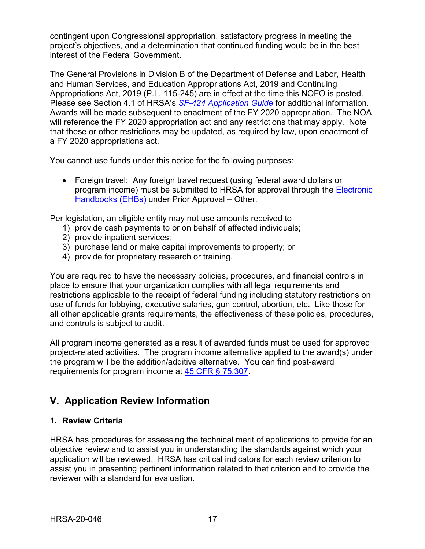contingent upon Congressional appropriation, satisfactory progress in meeting the project's objectives, and a determination that continued funding would be in the best interest of the Federal Government.

The General Provisions in Division B of the Department of Defense and Labor, Health and Human Services, and Education Appropriations Act, 2019 and Continuing Appropriations Act, 2019 (P.L. 115-245) are in effect at the time this NOFO is posted. Please see Section 4.1 of HRSA's *SF-424 [Application Guide](http://www.hrsa.gov/grants/apply/applicationguide/sf424guide.pdf)* for additional information. Awards will be made subsequent to enactment of the FY 2020 appropriation. The NOA will reference the FY 2020 appropriation act and any restrictions that may apply. Note that these or other restrictions may be updated, as required by law, upon enactment of a FY 2020 appropriations act.

You cannot use funds under this notice for the following purposes:

• Foreign travel: Any foreign travel request (using federal award dollars or program income) must be submitted to HRSA for approval through the [Electronic](https://grants.hrsa.gov/2010/WebEPSExternal/Interface/Common/AccessControl/Login.aspx)  [Handbooks](https://grants.hrsa.gov/2010/WebEPSExternal/Interface/Common/AccessControl/Login.aspx) (EHBs) under Prior Approval – Other.

Per legislation, an eligible entity may not use amounts received to—

- 1) provide cash payments to or on behalf of affected individuals;
- 2) provide inpatient services;
- 3) purchase land or make capital improvements to property; or
- 4) provide for proprietary research or training.

You are required to have the necessary policies, procedures, and financial controls in place to ensure that your organization complies with all legal requirements and restrictions applicable to the receipt of federal funding including statutory restrictions on use of funds for lobbying, executive salaries, gun control, abortion, etc. Like those for all other applicable grants requirements, the effectiveness of these policies, procedures, and controls is subject to audit.

All program income generated as a result of awarded funds must be used for approved project-related activities. The program income alternative applied to the award(s) under the program will be the addition/additive alternative. You can find post-award requirements for program income at [45 CFR § 75.307.](https://www.ecfr.gov/cgi-bin/retrieveECFR?gp=1&SID=4d52364ec83fab994c665943dadf9cf7&ty=HTML&h=L&r=PART&n=pt45.1.75)

## <span id="page-20-0"></span>**V. Application Review Information**

#### <span id="page-20-1"></span>**1. Review Criteria**

HRSA has procedures for assessing the technical merit of applications to provide for an objective review and to assist you in understanding the standards against which your application will be reviewed. HRSA has critical indicators for each review criterion to assist you in presenting pertinent information related to that criterion and to provide the reviewer with a standard for evaluation.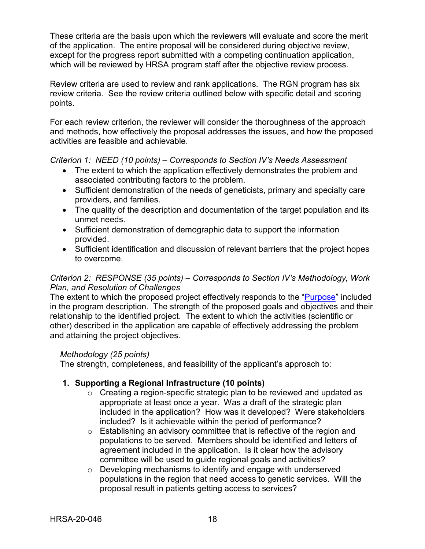These criteria are the basis upon which the reviewers will evaluate and score the merit of the application. The entire proposal will be considered during objective review, except for the progress report submitted with a competing continuation application, which will be reviewed by HRSA program staff after the objective review process.

Review criteria are used to review and rank applications. The RGN program has six review criteria. See the review criteria outlined below with specific detail and scoring points.

For each review criterion, the reviewer will consider the thoroughness of the approach and methods, how effectively the proposal addresses the issues, and how the proposed activities are feasible and achievable.

<span id="page-21-0"></span>*Criterion 1: NEED (10 points) – Corresponds to Section IV's Needs Assessment*

- The extent to which the application effectively demonstrates the problem and associated contributing factors to the problem.
- Sufficient demonstration of the needs of geneticists, primary and specialty care providers, and families.
- The quality of the description and documentation of the target population and its unmet needs.
- Sufficient demonstration of demographic data to support the information provided.
- Sufficient identification and discussion of relevant barriers that the project hopes to overcome.

#### <span id="page-21-1"></span>*Criterion 2: RESPONSE (35 points) – Corresponds to Section IV's Methodology, Work Plan, and Resolution of Challenges*

The extent to which the proposed project effectively responds to the ["Purpose"](#page-4-0) included in the program description. The strength of the proposed goals and objectives and their relationship to the identified project. The extent to which the activities (scientific or other) described in the application are capable of effectively addressing the problem and attaining the project objectives.

#### *Methodology (25 points)*

The strength, completeness, and feasibility of the applicant's approach to:

## **1. Supporting a Regional Infrastructure (10 points)**

- o Creating a region-specific strategic plan to be reviewed and updated as appropriate at least once a year. Was a draft of the strategic plan included in the application? How was it developed? Were stakeholders included? Is it achievable within the period of performance?
- o Establishing an advisory committee that is reflective of the region and populations to be served. Members should be identified and letters of agreement included in the application. Is it clear how the advisory committee will be used to guide regional goals and activities?
- o Developing mechanisms to identify and engage with underserved populations in the region that need access to genetic services. Will the proposal result in patients getting access to services?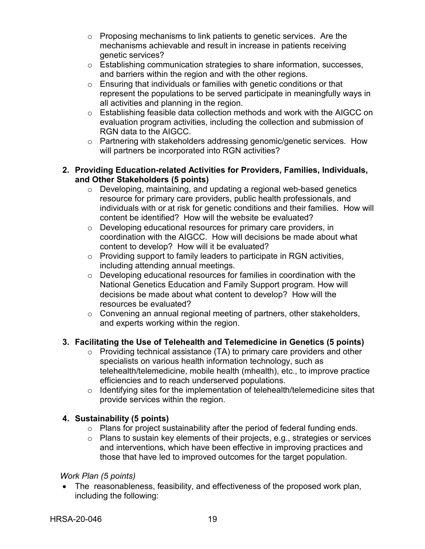- o Proposing mechanisms to link patients to genetic services. Are the mechanisms achievable and result in increase in patients receiving genetic services?
- o Establishing communication strategies to share information, successes, and barriers within the region and with the other regions.
- o Ensuring that individuals or families with genetic conditions or that represent the populations to be served participate in meaningfully ways in all activities and planning in the region.
- o Establishing feasible data collection methods and work with the AIGCC on evaluation program activities, including the collection and submission of RGN data to the AIGCC.
- o Partnering with stakeholders addressing genomic/genetic services. How will partners be incorporated into RGN activities?

#### **2. Providing Education-related Activities for Providers, Families, Individuals, and Other Stakeholders (5 points)**

- o Developing, maintaining, and updating a regional web-based genetics resource for primary care providers, public health professionals, and individuals with or at risk for genetic conditions and their families. How will content be identified? How will the website be evaluated?
- o Developing educational resources for primary care providers, in coordination with the AIGCC. How will decisions be made about what content to develop? How will it be evaluated?
- o Providing support to family leaders to participate in RGN activities, including attending annual meetings.
- o Developing educational resources for families in coordination with the National Genetics Education and Family Support program. How will decisions be made about what content to develop? How will the resources be evaluated?
- $\circ$  Convening an annual regional meeting of partners, other stakeholders, and experts working within the region.

## **3. Facilitating the Use of Telehealth and Telemedicine in Genetics (5 points)**

- $\circ$  Providing technical assistance (TA) to primary care providers and other specialists on various health information technology, such as telehealth/telemedicine, mobile health (mhealth), etc., to improve practice efficiencies and to reach underserved populations.
- $\circ$  Identifying sites for the implementation of telehealth/telemedicine sites that provide services within the region.

## **4. Sustainability (5 points)**

- $\circ$  Plans for project sustainability after the period of federal funding ends.
- o Plans to sustain key elements of their projects, e.g., strategies or services and interventions, which have been effective in improving practices and those that have led to improved outcomes for the target population.

## *Work Plan (5 points)*

• The reasonableness, feasibility, and effectiveness of the proposed work plan, including the following: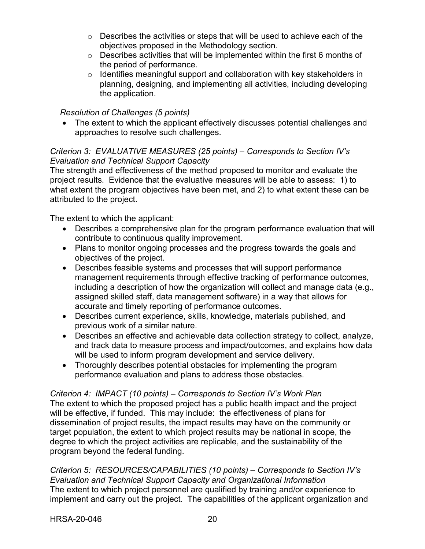- o Describes the activities or steps that will be used to achieve each of the objectives proposed in the Methodology section.
- $\circ$  Describes activities that will be implemented within the first 6 months of the period of performance.
- o Identifies meaningful support and collaboration with key stakeholders in planning, designing, and implementing all activities, including developing the application.

#### *Resolution of Challenges (5 points)*

• The extent to which the applicant effectively discusses potential challenges and approaches to resolve such challenges.

#### <span id="page-23-1"></span>*Criterion 3: EVALUATIVE MEASURES (25 points) – Corresponds to Section IV's Evaluation and Technical Support Capacity*

The strength and effectiveness of the method proposed to monitor and evaluate the project results. Evidence that the evaluative measures will be able to assess: 1) to what extent the program objectives have been met, and 2) to what extent these can be attributed to the project.

The extent to which the applicant:

- Describes a comprehensive plan for the program performance evaluation that will contribute to continuous quality improvement.
- Plans to monitor ongoing processes and the progress towards the goals and objectives of the project.
- Describes feasible systems and processes that will support performance management requirements through effective tracking of performance outcomes, including a description of how the organization will collect and manage data (e.g., assigned skilled staff, data management software) in a way that allows for accurate and timely reporting of performance outcomes.
- Describes current experience, skills, knowledge, materials published, and previous work of a similar nature.
- Describes an effective and achievable data collection strategy to collect, analyze, and track data to measure process and impact/outcomes, and explains how data will be used to inform program development and service delivery.
- Thoroughly describes potential obstacles for implementing the program performance evaluation and plans to address those obstacles.

#### <span id="page-23-0"></span>*Criterion 4: IMPACT (10 points) – Corresponds to Section IV's Work Plan*

The extent to which the proposed project has a public health impact and the project will be effective, if funded. This may include: the effectiveness of plans for dissemination of project results, the impact results may have on the community or target population, the extent to which project results may be national in scope, the degree to which the project activities are replicable, and the sustainability of the program beyond the federal funding.

<span id="page-23-2"></span>*Criterion 5: RESOURCES/CAPABILITIES (10 points) – Corresponds to Section IV's Evaluation and Technical Support Capacity and Organizational Information* The extent to which project personnel are qualified by training and/or experience to implement and carry out the project. The capabilities of the applicant organization and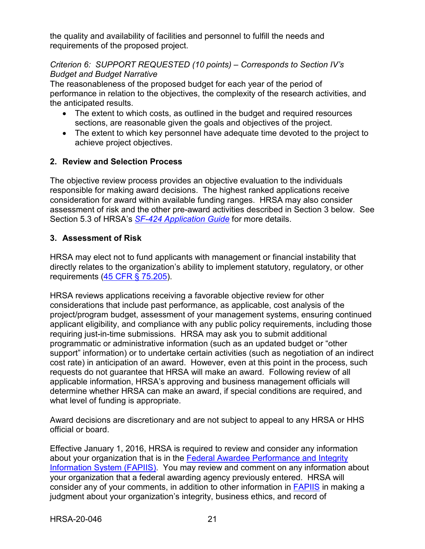the quality and availability of facilities and personnel to fulfill the needs and requirements of the proposed project.

#### *Criterion 6: SUPPORT REQUESTED (10 points) – Corresponds to Section IV's Budget and Budget Narrative*

The reasonableness of the proposed budget for each year of the period of performance in relation to the objectives, the complexity of the research activities, and the anticipated results.

- The extent to which costs, as outlined in the budget and required resources sections, are reasonable given the goals and objectives of the project.
- The extent to which key personnel have adequate time devoted to the project to achieve project objectives.

### <span id="page-24-0"></span>**2. Review and Selection Process**

The objective review process provides an objective evaluation to the individuals responsible for making award decisions. The highest ranked applications receive consideration for award within available funding ranges. HRSA may also consider assessment of risk and the other pre-award activities described in Section 3 below. See Section 5.3 of HRSA's *SF-424 [Application Guide](http://www.hrsa.gov/grants/apply/applicationguide/sf424guide.pdf)* for more details.

### <span id="page-24-1"></span>**3. Assessment of Risk**

HRSA may elect not to fund applicants with management or financial instability that directly relates to the organization's ability to implement statutory, regulatory, or other requirements [\(45 CFR § 75.205\)](https://www.ecfr.gov/cgi-bin/retrieveECFR?gp=1&SID=4d52364ec83fab994c665943dadf9cf7&ty=HTML&h=L&r=PART&n=pt45.1.75).

HRSA reviews applications receiving a favorable objective review for other considerations that include past performance, as applicable, cost analysis of the project/program budget, assessment of your management systems, ensuring continued applicant eligibility, and compliance with any public policy requirements, including those requiring just-in-time submissions. HRSA may ask you to submit additional programmatic or administrative information (such as an updated budget or "other support" information) or to undertake certain activities (such as negotiation of an indirect cost rate) in anticipation of an award. However, even at this point in the process, such requests do not guarantee that HRSA will make an award. Following review of all applicable information, HRSA's approving and business management officials will determine whether HRSA can make an award, if special conditions are required, and what level of funding is appropriate.

Award decisions are discretionary and are not subject to appeal to any HRSA or HHS official or board.

Effective January 1, 2016, HRSA is required to review and consider any information about your organization that is in the [Federal Awardee Performance and Integrity](https://www.fapiis.gov/)  [Information System \(FAPIIS\).](https://www.fapiis.gov/) You may review and comment on any information about your organization that a federal awarding agency previously entered. HRSA will consider any of your comments, in addition to other information in [FAPIIS](https://www.fapiis.gov/) in making a judgment about your organization's integrity, business ethics, and record of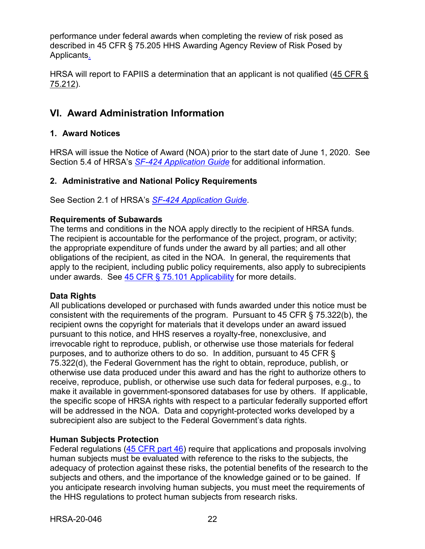performance under federal awards when completing the review of risk posed as described in [45 CFR § 75.205 HHS Awarding Agency Review of Risk Posed by](https://www.ecfr.gov/cgi-bin/retrieveECFR?gp=1&SID=4d52364ec83fab994c665943dadf9cf7&ty=HTML&h=L&r=PART&n=pt45.1.75)  [Applicants.](https://www.ecfr.gov/cgi-bin/retrieveECFR?gp=1&SID=4d52364ec83fab994c665943dadf9cf7&ty=HTML&h=L&r=PART&n=pt45.1.75)

HRSA will report to FAPIIS a determination that an applicant is not qualified [\(45 CFR §](https://www.ecfr.gov/cgi-bin/retrieveECFR?gp=1&SID=4d52364ec83fab994c665943dadf9cf7&ty=HTML&h=L&r=PART&n=pt45.1.75)  [75.212\)](https://www.ecfr.gov/cgi-bin/retrieveECFR?gp=1&SID=4d52364ec83fab994c665943dadf9cf7&ty=HTML&h=L&r=PART&n=pt45.1.75).

## <span id="page-25-0"></span>**VI. Award Administration Information**

#### <span id="page-25-1"></span>**1. Award Notices**

HRSA will issue the Notice of Award (NOA) prior to the start date of June 1, 2020. See Section 5.4 of HRSA's *SF-424 [Application Guide](http://www.hrsa.gov/grants/apply/applicationguide/sf424guide.pdf)* for additional information.

#### <span id="page-25-2"></span>**2. Administrative and National Policy Requirements**

See Section 2.1 of HRSA's *SF-424 [Application Guide](http://www.hrsa.gov/grants/apply/applicationguide/sf424guide.pdf)*.

#### **Requirements of Subawards**

The terms and conditions in the NOA apply directly to the recipient of HRSA funds. The recipient is accountable for the performance of the project, program, or activity; the appropriate expenditure of funds under the award by all parties; and all other obligations of the recipient, as cited in the NOA. In general, the requirements that apply to the recipient, including public policy requirements, also apply to subrecipients under awards. See  $45$  CFR  $\S$  75.101 Applicability for more details.

#### **Data Rights**

All publications developed or purchased with funds awarded under this notice must be consistent with the requirements of the program. Pursuant to 45 CFR § 75.322(b), the recipient owns the copyright for materials that it develops under an award issued pursuant to this notice, and HHS reserves a royalty-free, nonexclusive, and irrevocable right to reproduce, publish, or otherwise use those materials for federal purposes, and to authorize others to do so. In addition, pursuant to 45 CFR § 75.322(d), the Federal Government has the right to obtain, reproduce, publish, or otherwise use data produced under this award and has the right to authorize others to receive, reproduce, publish, or otherwise use such data for federal purposes, e.g., to make it available in government-sponsored databases for use by others. If applicable, the specific scope of HRSA rights with respect to a particular federally supported effort will be addressed in the NOA. Data and copyright-protected works developed by a subrecipient also are subject to the Federal Government's data rights.

#### **Human Subjects Protection**

Federal regulations [\(45 CFR part 46\)](https://www.ecfr.gov/cgi-bin/text-idx?SID=5ec405e535881de66e6f153cdf4cdcf8&mc=true&node=pt45.1.46&rgn=div5) require that applications and proposals involving human subjects must be evaluated with reference to the risks to the subjects, the adequacy of protection against these risks, the potential benefits of the research to the subjects and others, and the importance of the knowledge gained or to be gained. If you anticipate research involving human subjects, you must meet the requirements of the HHS regulations to protect human subjects from research risks.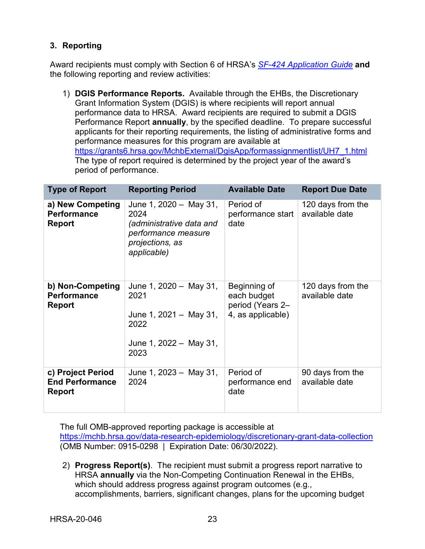### <span id="page-26-0"></span>**3. Reporting**

Award recipients must comply with Section 6 of HRSA's *SF-424 [Application Guide](http://www.hrsa.gov/grants/apply/applicationguide/sf424guide.pdf)* **and** the following reporting and review activities:

1) **DGIS Performance Reports.** Available through the EHBs, the Discretionary Grant Information System (DGIS) is where recipients will report annual performance data to HRSA. Award recipients are required to submit a DGIS Performance Report **annually**, by the specified deadline. To prepare successful applicants for their reporting requirements, the listing of administrative forms and performance measures for this program are available at [https://grants6.hrsa.gov/MchbExternal/DgisApp/formassignmentlist/UH7\\_1.html](https://grants6.hrsa.gov/MchbExternal/DgisApp/formassignmentlist/UH7_1.html) The type of report required is determined by the project year of the award's period of performance.

| <b>Type of Report</b>                                        | <b>Reporting Period</b>                                                                                             | <b>Available Date</b>                                                | <b>Report Due Date</b>              |
|--------------------------------------------------------------|---------------------------------------------------------------------------------------------------------------------|----------------------------------------------------------------------|-------------------------------------|
| a) New Competing<br><b>Performance</b><br><b>Report</b>      | June 1, 2020 - May 31,<br>2024<br>(administrative data and<br>performance measure<br>projections, as<br>applicable) | Period of<br>performance start<br>date                               | 120 days from the<br>available date |
| b) Non-Competing<br><b>Performance</b><br><b>Report</b>      | June 1, $2020 - May 31$ ,<br>2021<br>June 1, $2021 - May 31$ ,<br>2022<br>June 1, 2022 - May 31,<br>2023            | Beginning of<br>each budget<br>period (Years 2-<br>4, as applicable) | 120 days from the<br>available date |
| c) Project Period<br><b>End Performance</b><br><b>Report</b> | June 1, $2023 - May 31$ ,<br>2024                                                                                   | Period of<br>performance end<br>date                                 | 90 days from the<br>available date  |

The full OMB-approved reporting package is accessible at <https://mchb.hrsa.gov/data-research-epidemiology/discretionary-grant-data-collection> (OMB Number: 0915-0298 | Expiration Date: 06/30/2022).

2) **Progress Report(s)**. The recipient must submit a progress report narrative to HRSA **annually** via the Non-Competing Continuation Renewal in the EHBs, which should address progress against program outcomes (e.g., accomplishments, barriers, significant changes, plans for the upcoming budget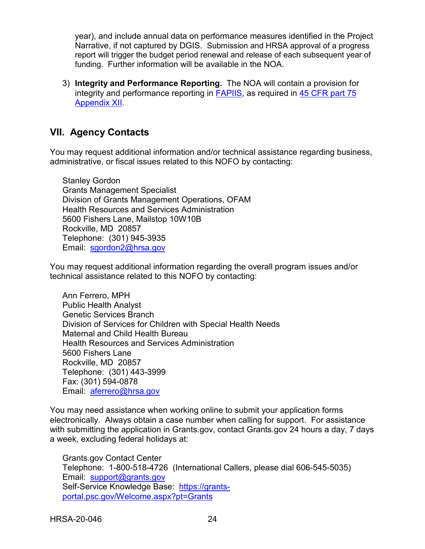year), and include annual data on performance measures identified in the Project Narrative, if not captured by DGIS. Submission and HRSA approval of a progress report will trigger the budget period renewal and release of each subsequent year of funding. Further information will be available in the NOA.

3) **Integrity and Performance Reporting.** The NOA will contain a provision for integrity and performance reporting in [FAPIIS,](https://www.fapiis.gov/) as required in [45 CFR part 75](https://www.ecfr.gov/cgi-bin/retrieveECFR?gp=1&SID=4d52364ec83fab994c665943dadf9cf7&ty=HTML&h=L&r=PART&n=pt45.1.75)  [Appendix XII.](https://www.ecfr.gov/cgi-bin/retrieveECFR?gp=1&SID=4d52364ec83fab994c665943dadf9cf7&ty=HTML&h=L&r=PART&n=pt45.1.75)

## <span id="page-27-0"></span>**VII. Agency Contacts**

You may request additional information and/or technical assistance regarding business, administrative, or fiscal issues related to this NOFO by contacting:

Stanley Gordon Grants Management Specialist Division of Grants Management Operations, OFAM Health Resources and Services Administration 5600 Fishers Lane, Mailstop 10W10B Rockville, MD 20857 Telephone: (301) 945-3935 Email: [sgordon2@hrsa.gov](mailto:XXXX@hrsa.gov)

You may request additional information regarding the overall program issues and/or technical assistance related to this NOFO by contacting:

Ann Ferrero, MPH Public Health Analyst Genetic Services Branch Division of Services for Children with Special Health Needs Maternal and Child Health Bureau Health Resources and Services Administration 5600 Fishers Lane Rockville, MD 20857 Telephone: (301) 443-3999 Fax: (301) 594-0878 Email: [aferrero@hrsa.gov](mailto:aferrero@hrsa.gov)

You may need assistance when working online to submit your application forms electronically. Always obtain a case number when calling for support. For assistance with submitting the application in Grants.gov, contact Grants.gov 24 hours a day, 7 days a week, excluding federal holidays at:

Grants.gov Contact Center Telephone: 1-800-518-4726 (International Callers, please dial 606-545-5035) Email: [support@grants.gov](mailto:support@grants.gov) Self-Service Knowledge Base: [https://grants](https://grants-portal.psc.gov/Welcome.aspx?pt=Grants)[portal.psc.gov/Welcome.aspx?pt=Grants](https://grants-portal.psc.gov/Welcome.aspx?pt=Grants)